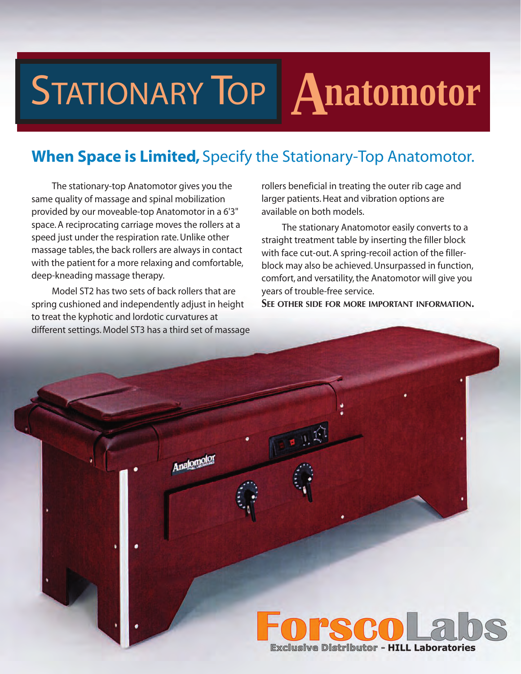## STATIONARY TOP **Anatomotor**

## **When Space is Limited,** Specify the Stationary-Top Anatomotor.

The stationary-top Anatomotor gives you the same quality of massage and spinal mobilization provided by our moveable-top Anatomotor in a 6'3" space. A reciprocating carriage moves the rollers at a speed just under the respiration rate. Unlike other massage tables, the back rollers are always in contact with the patient for a more relaxing and comfortable, deep-kneading massage therapy.

Model ST2 has two sets of back rollers that are spring cushioned and independently adjust in height to treat the kyphotic and lordotic curvatures at different settings. Model ST3 has a third set of massage

Analomok

rollers beneficial in treating the outer rib cage and larger patients. Heat and vibration options are available on both models.

The stationary Anatomotor easily converts to a straight treatment table by inserting the filler block with face cut-out. A spring-recoil action of the fillerblock may also be achieved. Unsurpassed in function, comfort, and versatility, the Anatomotor will give you years of trouble-free service.

**SEE OTHER SIDE FOR MORE IMPORTANT INFORMATION.**